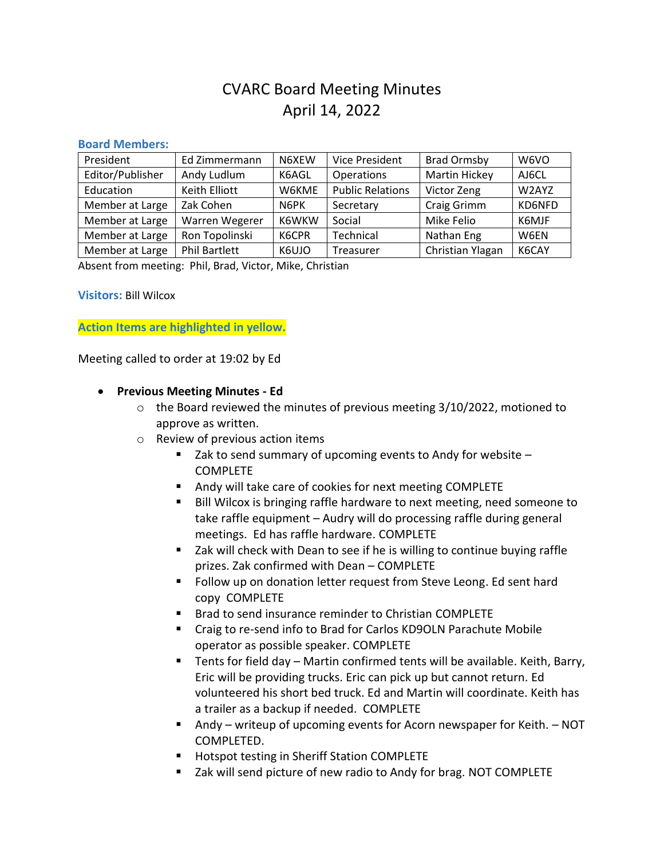# CVARC Board Meeting Minutes April 14, 2022

#### **Board Members:**

| President        | Ed Zimmermann        | N6XEW | <b>Vice President</b>   | <b>Brad Ormsby</b>   | W6VO   |
|------------------|----------------------|-------|-------------------------|----------------------|--------|
| Editor/Publisher | Andy Ludlum          | K6AGL | Operations              | <b>Martin Hickey</b> | AJ6CL  |
| Education        | Keith Elliott        | W6KME | <b>Public Relations</b> | Victor Zeng          | W2AYZ  |
| Member at Large  | Zak Cohen            | N6PK  | Secretary               | Craig Grimm          | KD6NFD |
| Member at Large  | Warren Wegerer       | K6WKW | Social                  | Mike Felio           | K6MJF  |
| Member at Large  | Ron Topolinski       | K6CPR | Technical               | Nathan Eng           | W6EN   |
| Member at Large  | <b>Phil Bartlett</b> | K6UJO | Treasurer               | Christian Ylagan     | K6CAY  |

Absent from meeting: Phil, Brad, Victor, Mike, Christian

**Visitors:** Bill Wilcox

**Action Items are highlighted in yellow.**

Meeting called to order at 19:02 by Ed

- **Previous Meeting Minutes - Ed**
	- o the Board reviewed the minutes of previous meeting 3/10/2022, motioned to approve as written.
	- o Review of previous action items
		- Zak to send summary of upcoming events to Andy for website COMPLETE
		- Andy will take care of cookies for next meeting COMPLETE
		- Bill Wilcox is bringing raffle hardware to next meeting, need someone to take raffle equipment – Audry will do processing raffle during general meetings. Ed has raffle hardware. COMPLETE
		- Zak will check with Dean to see if he is willing to continue buying raffle prizes. Zak confirmed with Dean – COMPLETE
		- Follow up on donation letter request from Steve Leong. Ed sent hard copy COMPLETE
		- Brad to send insurance reminder to Christian COMPLETE
		- Craig to re-send info to Brad for Carlos KD9OLN Parachute Mobile operator as possible speaker. COMPLETE
		- Tents for field day Martin confirmed tents will be available. Keith, Barry, Eric will be providing trucks. Eric can pick up but cannot return. Ed volunteered his short bed truck. Ed and Martin will coordinate. Keith has a trailer as a backup if needed. COMPLETE
		- Andy writeup of upcoming events for Acorn newspaper for Keith. NOT COMPLETED.
		- Hotspot testing in Sheriff Station COMPLETE
		- Zak will send picture of new radio to Andy for brag. NOT COMPLETE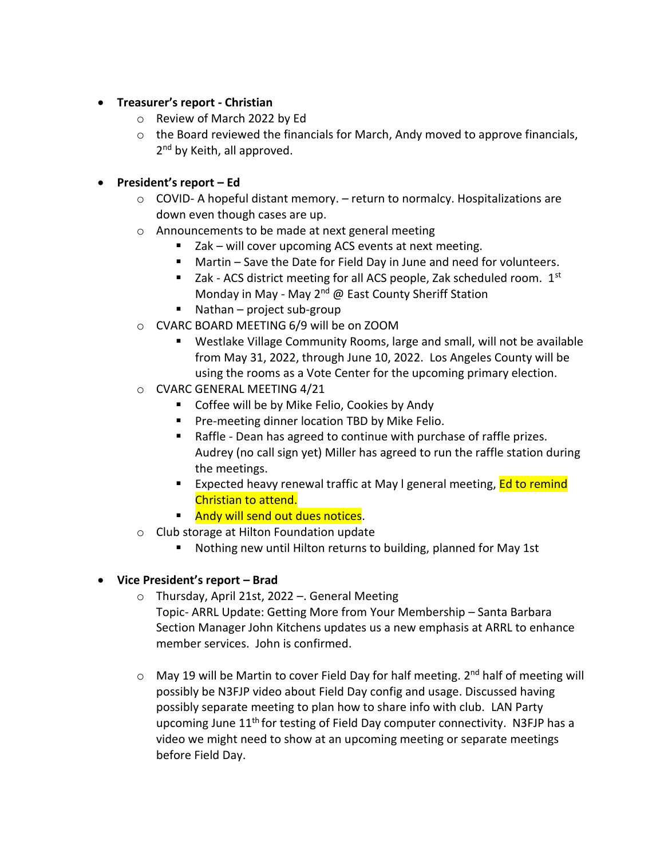- **Treasurer's report - Christian**
	- o Review of March 2022 by Ed
	- o the Board reviewed the financials for March, Andy moved to approve financials, 2<sup>nd</sup> by Keith, all approved.
- **President's report – Ed**
	- $\circ$  COVID- A hopeful distant memory.  $-$  return to normalcy. Hospitalizations are down even though cases are up.
	- o Announcements to be made at next general meeting
		- Zak will cover upcoming ACS events at next meeting.
		- Martin Save the Date for Field Day in June and need for volunteers.
		- Zak ACS district meeting for all ACS people, Zak scheduled room.  $1<sup>st</sup>$ Monday in May - May 2<sup>nd</sup> @ East County Sheriff Station
		- Nathan project sub-group
	- o CVARC BOARD MEETING 6/9 will be on ZOOM
		- Westlake Village Community Rooms, large and small, will not be available from May 31, 2022, through June 10, 2022. Los Angeles County will be using the rooms as a Vote Center for the upcoming primary election.
	- o CVARC GENERAL MEETING 4/21
		- Coffee will be by Mike Felio, Cookies by Andy
		- Pre-meeting dinner location TBD by Mike Felio.
		- Raffle Dean has agreed to continue with purchase of raffle prizes. Audrey (no call sign yet) Miller has agreed to run the raffle station during the meetings.
		- **EXPECTED heavy renewal traffic at May I general meeting, Ed to remind** Christian to attend.
		- Andy will send out dues notices.
	- o Club storage at Hilton Foundation update
		- Nothing new until Hilton returns to building, planned for May 1st
- **Vice President's report – Brad**
	- o Thursday, April 21st, 2022 –. General Meeting Topic- ARRL Update: Getting More from Your Membership – Santa Barbara Section Manager John Kitchens updates us a new emphasis at ARRL to enhance member services. John is confirmed.
	- o May 19 will be Martin to cover Field Day for half meeting. 2<sup>nd</sup> half of meeting will possibly be N3FJP video about Field Day config and usage. Discussed having possibly separate meeting to plan how to share info with club. LAN Party upcoming June  $11<sup>th</sup>$  for testing of Field Day computer connectivity. N3FJP has a video we might need to show at an upcoming meeting or separate meetings before Field Day.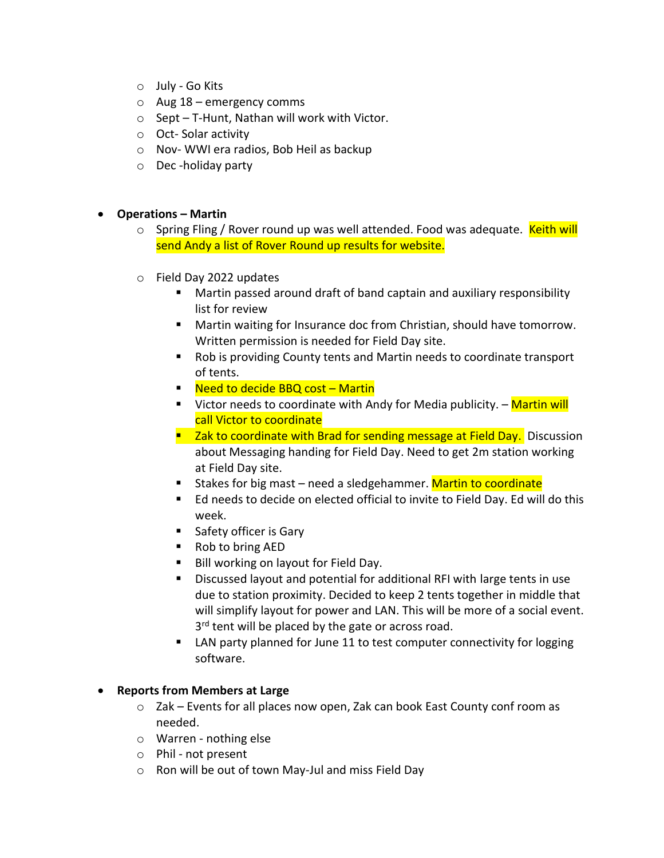- o July Go Kits
- $\circ$  Aug 18 emergency comms
- o Sept T-Hunt, Nathan will work with Victor.
- o Oct- Solar activity
- o Nov- WWI era radios, Bob Heil as backup
- o Dec -holiday party

#### • **Operations – Martin**

- $\circ$  Spring Fling / Rover round up was well attended. Food was adequate. Keith will send Andy a list of Rover Round up results for website.
- o Field Day 2022 updates
	- Martin passed around draft of band captain and auxiliary responsibility list for review
	- Martin waiting for Insurance doc from Christian, should have tomorrow. Written permission is needed for Field Day site.
	- Rob is providing County tents and Martin needs to coordinate transport of tents.
	- Need to decide BBQ cost Martin
	- Victor needs to coordinate with Andy for Media publicity. Martin will call Victor to coordinate
	- Zak to coordinate with Brad for sending message at Field Day. Discussion about Messaging handing for Field Day. Need to get 2m station working at Field Day site.
	- Stakes for big mast need a sledgehammer. Martin to coordinate
	- Ed needs to decide on elected official to invite to Field Day. Ed will do this week.
	- Safety officer is Gary
	- Rob to bring AED
	- Bill working on layout for Field Day.
	- Discussed layout and potential for additional RFI with large tents in use due to station proximity. Decided to keep 2 tents together in middle that will simplify layout for power and LAN. This will be more of a social event. 3<sup>rd</sup> tent will be placed by the gate or across road.
	- LAN party planned for June 11 to test computer connectivity for logging software.

#### • **Reports from Members at Large**

- o Zak Events for all places now open, Zak can book East County conf room as needed.
- o Warren nothing else
- o Phil not present
- o Ron will be out of town May-Jul and miss Field Day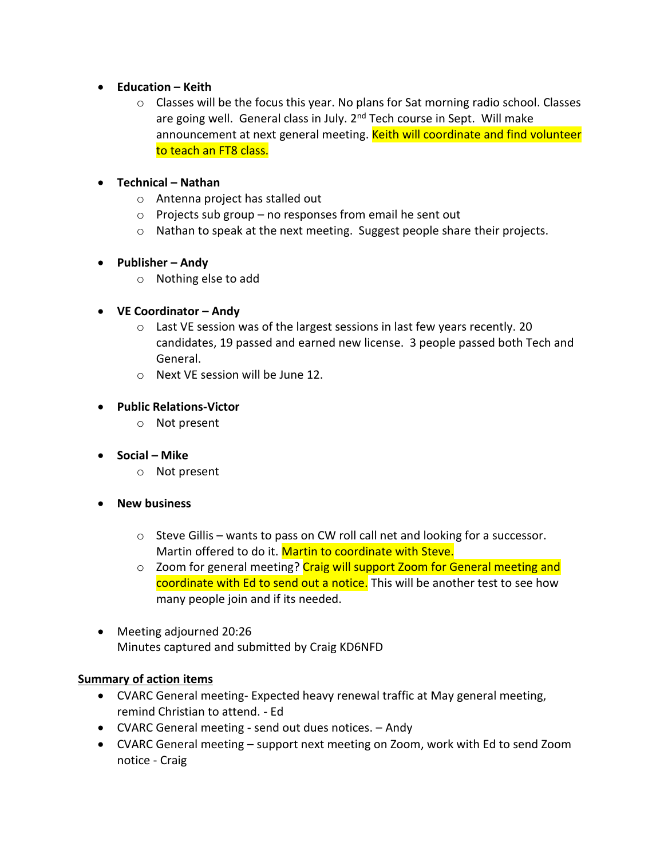#### • **Education – Keith**

 $\circ$  Classes will be the focus this year. No plans for Sat morning radio school. Classes are going well. General class in July. 2<sup>nd</sup> Tech course in Sept. Will make announcement at next general meeting. Keith will coordinate and find volunteer to teach an FT8 class.

#### • **Technical – Nathan**

- o Antenna project has stalled out
- $\circ$  Projects sub group no responses from email he sent out
- $\circ$  Nathan to speak at the next meeting. Suggest people share their projects.

# • **Publisher – Andy**

o Nothing else to add

# • **VE Coordinator – Andy**

- o Last VE session was of the largest sessions in last few years recently. 20 candidates, 19 passed and earned new license. 3 people passed both Tech and General.
- o Next VE session will be June 12.

# • **Public Relations-Victor**

- o Not present
- **Social – Mike**
	- o Not present
- **New business**
	- o Steve Gillis wants to pass on CW roll call net and looking for a successor. Martin offered to do it. Martin to coordinate with Steve.
	- $\circ$  Zoom for general meeting? Craig will support Zoom for General meeting and coordinate with Ed to send out a notice. This will be another test to see how many people join and if its needed.
- Meeting adjourned 20:26 Minutes captured and submitted by Craig KD6NFD

# **Summary of action items**

- CVARC General meeting- Expected heavy renewal traffic at May general meeting, remind Christian to attend. - Ed
- CVARC General meeting send out dues notices. Andy
- CVARC General meeting support next meeting on Zoom, work with Ed to send Zoom notice - Craig